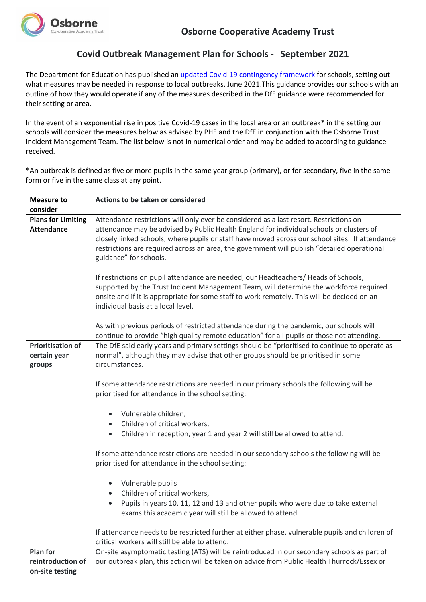

## **Covid Outbreak Management Plan for Schools - September 2021**

The Department for Education has published an [updated Covid-19 contingency framework](https://assets.publishing.service.gov.uk/government/uploads/system/uploads/attachment_data/file/995020/COVID-19_Contingency_Framework_-_Education_and_Childcare_June-2021.pdf) for schools, setting out what measures may be needed in response to local outbreaks. June 2021.This guidance provides our schools with an outline of how they would operate if any of the measures described in the DfE guidance were recommended for their setting or area.

In the event of an exponential rise in positive Covid-19 cases in the local area or an outbreak\* in the setting our schools will consider the measures below as advised by PHE and the DfE in conjunction with the Osborne Trust Incident Management Team. The list below is not in numerical order and may be added to according to guidance received.

\*An outbreak is defined as five or more pupils in the same year group (primary), or for secondary, five in the same form or five in the same class at any point.

| <b>Measure to</b>         | Actions to be taken or considered                                                                                                                                                                                                                                                                                    |
|---------------------------|----------------------------------------------------------------------------------------------------------------------------------------------------------------------------------------------------------------------------------------------------------------------------------------------------------------------|
| consider                  |                                                                                                                                                                                                                                                                                                                      |
| <b>Plans for Limiting</b> | Attendance restrictions will only ever be considered as a last resort. Restrictions on                                                                                                                                                                                                                               |
| <b>Attendance</b>         | attendance may be advised by Public Health England for individual schools or clusters of<br>closely linked schools, where pupils or staff have moved across our school sites. If attendance<br>restrictions are required across an area, the government will publish "detailed operational<br>guidance" for schools. |
|                           | If restrictions on pupil attendance are needed, our Headteachers/ Heads of Schools,<br>supported by the Trust Incident Management Team, will determine the workforce required<br>onsite and if it is appropriate for some staff to work remotely. This will be decided on an<br>individual basis at a local level.   |
|                           | As with previous periods of restricted attendance during the pandemic, our schools will<br>continue to provide "high quality remote education" for all pupils or those not attending.                                                                                                                                |
| <b>Prioritisation of</b>  | The DfE said early years and primary settings should be "prioritised to continue to operate as                                                                                                                                                                                                                       |
| certain year              | normal", although they may advise that other groups should be prioritised in some                                                                                                                                                                                                                                    |
| groups                    | circumstances.                                                                                                                                                                                                                                                                                                       |
|                           | If some attendance restrictions are needed in our primary schools the following will be<br>prioritised for attendance in the school setting:                                                                                                                                                                         |
|                           | Vulnerable children,                                                                                                                                                                                                                                                                                                 |
|                           | Children of critical workers,                                                                                                                                                                                                                                                                                        |
|                           | Children in reception, year 1 and year 2 will still be allowed to attend.<br>$\bullet$                                                                                                                                                                                                                               |
|                           |                                                                                                                                                                                                                                                                                                                      |
|                           | If some attendance restrictions are needed in our secondary schools the following will be<br>prioritised for attendance in the school setting:                                                                                                                                                                       |
|                           | Vulnerable pupils<br>$\bullet$                                                                                                                                                                                                                                                                                       |
|                           | Children of critical workers,                                                                                                                                                                                                                                                                                        |
|                           | Pupils in years 10, 11, 12 and 13 and other pupils who were due to take external                                                                                                                                                                                                                                     |
|                           | exams this academic year will still be allowed to attend.                                                                                                                                                                                                                                                            |
|                           | If attendance needs to be restricted further at either phase, vulnerable pupils and children of<br>critical workers will still be able to attend.                                                                                                                                                                    |
| <b>Plan for</b>           | On-site asymptomatic testing (ATS) will be reintroduced in our secondary schools as part of                                                                                                                                                                                                                          |
| reintroduction of         | our outbreak plan, this action will be taken on advice from Public Health Thurrock/Essex or                                                                                                                                                                                                                          |
| on-site testing           |                                                                                                                                                                                                                                                                                                                      |